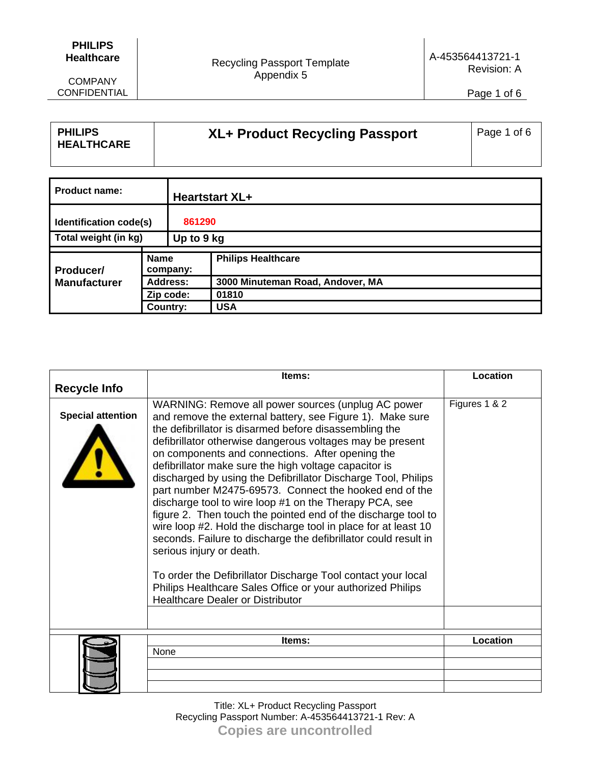## **PHILIPS Healthcare**

COMPANY CONFIDENTIAL

Page 1 of 6

| <b>PHILIPS</b><br><b>HEALTHCARE</b> | XL+ Product Recycling Passport | Page 1 of 6 |
|-------------------------------------|--------------------------------|-------------|
|-------------------------------------|--------------------------------|-------------|

| <b>Product name:</b>                    |             |                 | <b>Heartstart XL+</b>            |
|-----------------------------------------|-------------|-----------------|----------------------------------|
| Identification code(s)                  |             | 861290          |                                  |
| Total weight (in kg)                    |             | Up to 9 kg      |                                  |
| <b>Producer/</b><br><b>Manufacturer</b> | <b>Name</b> |                 | <b>Philips Healthcare</b>        |
|                                         |             | company:        |                                  |
|                                         |             | <b>Address:</b> | 3000 Minuteman Road, Andover, MA |
|                                         |             | Zip code:       | 01810                            |
|                                         |             | Country:        | <b>USA</b>                       |

|                          | ltems:                                                                                                                                                                                                                                                                                                                                                                                                                                                                                                                                                                                                                                                                                                                                                                                                                                                                                                                                              | Location        |
|--------------------------|-----------------------------------------------------------------------------------------------------------------------------------------------------------------------------------------------------------------------------------------------------------------------------------------------------------------------------------------------------------------------------------------------------------------------------------------------------------------------------------------------------------------------------------------------------------------------------------------------------------------------------------------------------------------------------------------------------------------------------------------------------------------------------------------------------------------------------------------------------------------------------------------------------------------------------------------------------|-----------------|
| <b>Recycle Info</b>      |                                                                                                                                                                                                                                                                                                                                                                                                                                                                                                                                                                                                                                                                                                                                                                                                                                                                                                                                                     |                 |
| <b>Special attention</b> | WARNING: Remove all power sources (unplug AC power<br>and remove the external battery, see Figure 1). Make sure<br>the defibrillator is disarmed before disassembling the<br>defibrillator otherwise dangerous voltages may be present<br>on components and connections. After opening the<br>defibrillator make sure the high voltage capacitor is<br>discharged by using the Defibrillator Discharge Tool, Philips<br>part number M2475-69573. Connect the hooked end of the<br>discharge tool to wire loop #1 on the Therapy PCA, see<br>figure 2. Then touch the pointed end of the discharge tool to<br>wire loop #2. Hold the discharge tool in place for at least 10<br>seconds. Failure to discharge the defibrillator could result in<br>serious injury or death.<br>To order the Defibrillator Discharge Tool contact your local<br>Philips Healthcare Sales Office or your authorized Philips<br><b>Healthcare Dealer or Distributor</b> | Figures 1 & 2   |
|                          | Items:                                                                                                                                                                                                                                                                                                                                                                                                                                                                                                                                                                                                                                                                                                                                                                                                                                                                                                                                              | <b>Location</b> |
|                          | None                                                                                                                                                                                                                                                                                                                                                                                                                                                                                                                                                                                                                                                                                                                                                                                                                                                                                                                                                |                 |
|                          |                                                                                                                                                                                                                                                                                                                                                                                                                                                                                                                                                                                                                                                                                                                                                                                                                                                                                                                                                     |                 |
|                          |                                                                                                                                                                                                                                                                                                                                                                                                                                                                                                                                                                                                                                                                                                                                                                                                                                                                                                                                                     |                 |
|                          |                                                                                                                                                                                                                                                                                                                                                                                                                                                                                                                                                                                                                                                                                                                                                                                                                                                                                                                                                     |                 |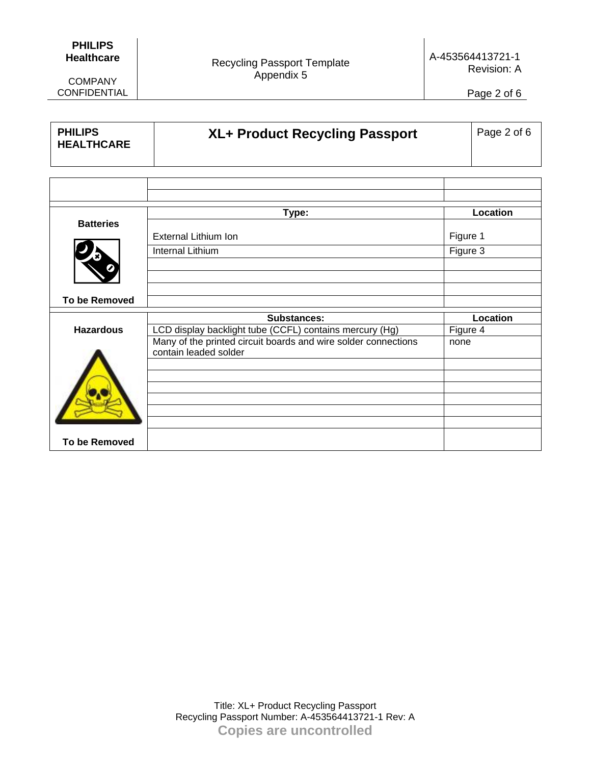## **PHILIPS Healthcare**

COMPANY CONFIDENTIAL Recycling Passport Template Appendix 5

A-453564413721-1 Revision: A

Page 2 of 6

| <b>PHILIPS</b><br><b>HEALTHCARE</b> | XL+ Product Recycling Passport                                                          |          | Page 2 of 6 |
|-------------------------------------|-----------------------------------------------------------------------------------------|----------|-------------|
|                                     |                                                                                         |          |             |
|                                     |                                                                                         |          |             |
|                                     |                                                                                         |          |             |
|                                     | Type:                                                                                   |          | Location    |
| <b>Batteries</b>                    | <b>External Lithium Ion</b>                                                             | Figure 1 |             |
|                                     | Internal Lithium                                                                        | Figure 3 |             |
|                                     |                                                                                         |          |             |
| <b>To be Removed</b>                |                                                                                         |          |             |
|                                     | <b>Substances:</b>                                                                      |          | Location    |
| <b>Hazardous</b>                    | LCD display backlight tube (CCFL) contains mercury (Hg)                                 | Figure 4 |             |
|                                     | Many of the printed circuit boards and wire solder connections<br>contain leaded solder | none     |             |
|                                     |                                                                                         |          |             |
|                                     |                                                                                         |          |             |
|                                     |                                                                                         |          |             |
|                                     |                                                                                         |          |             |
|                                     |                                                                                         |          |             |
| <b>To be Removed</b>                |                                                                                         |          |             |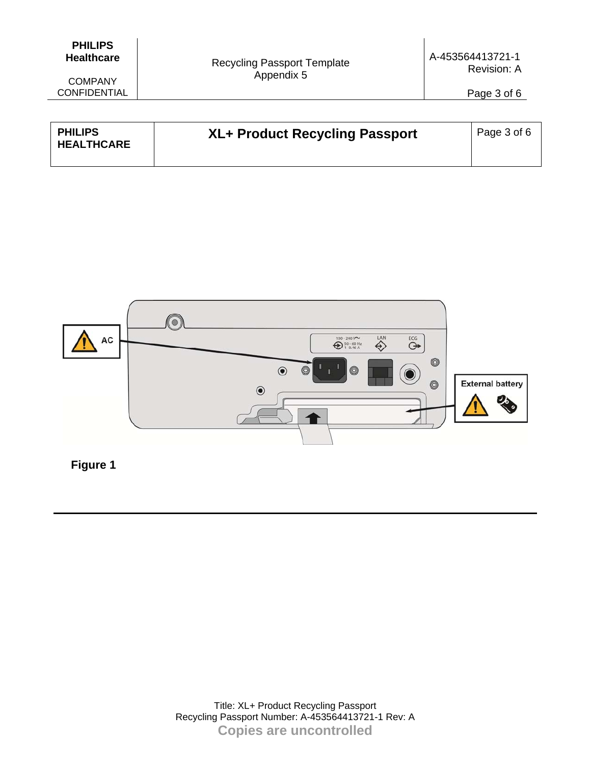| <b>PHILIPS</b>    |
|-------------------|
| <b>Healthcare</b> |

| <b>PHILIPS</b><br><b>HEALTHCARE</b> | XL+ Product Recycling Passport | Page 3 of 6 |
|-------------------------------------|--------------------------------|-------------|
|                                     |                                |             |

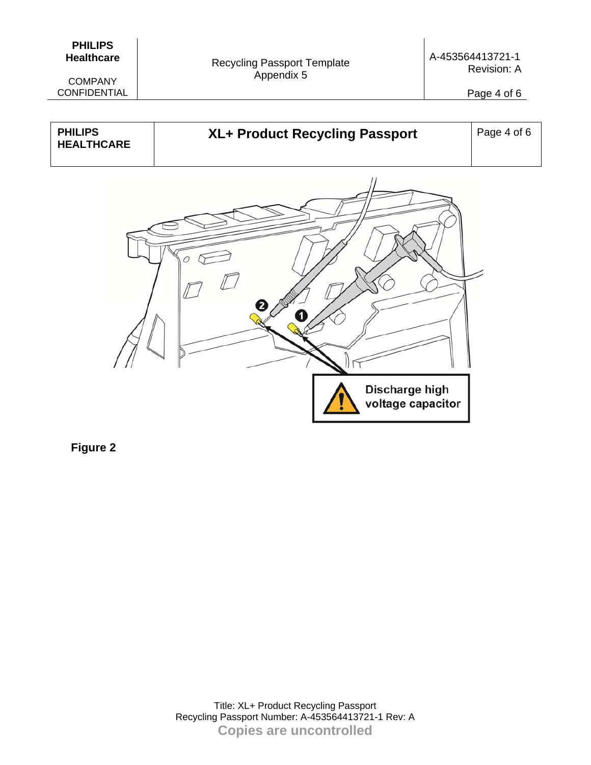| <b>PHILIPS</b>    |
|-------------------|
| <b>Healthcare</b> |

Page 4 of 6

| <b>PHILIPS</b><br><b>HEALTHCARE</b> | XL+ Product Recycling Passport      | Page 4 of 6 |
|-------------------------------------|-------------------------------------|-------------|
|                                     |                                     |             |
|                                     | Discharge high<br>voltage capacitor |             |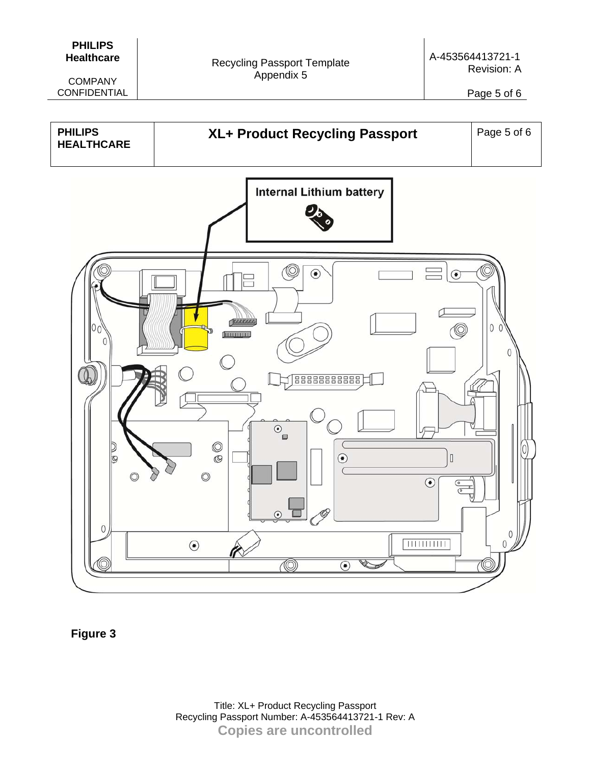| <b>PHILIPS</b>    |
|-------------------|
| <b>Healthcare</b> |

Page 5 of 6